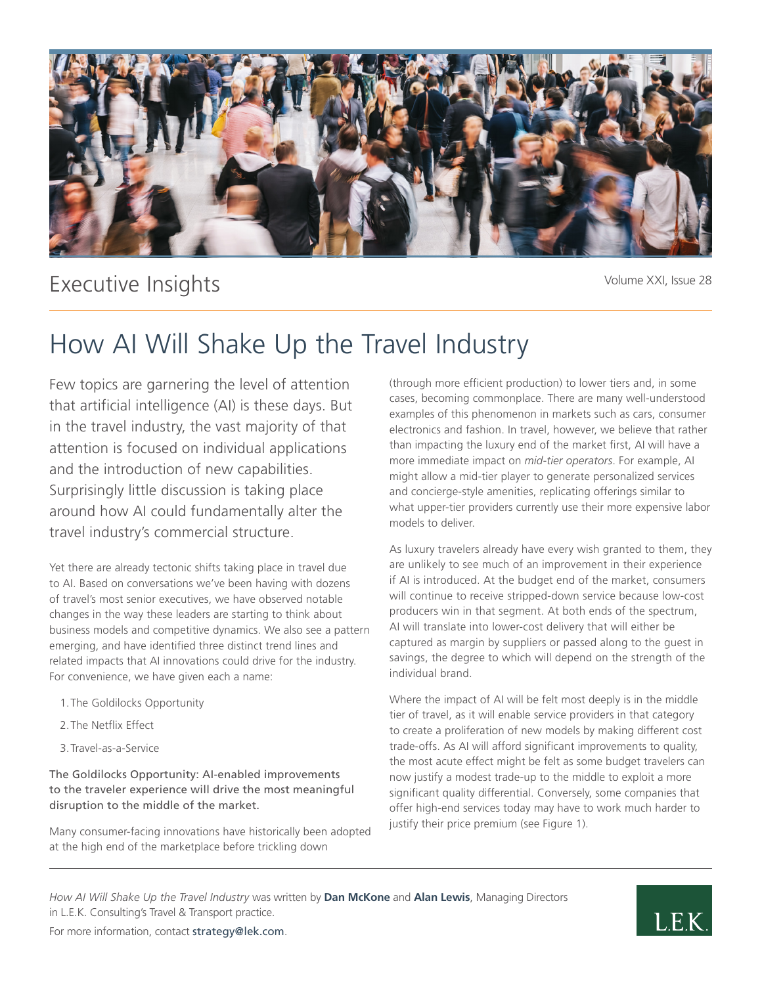

# Executive Insights

Volume XXI, Issue 28

# How AI Will Shake Up the Travel Industry

Few topics are garnering the level of attention that artificial intelligence (AI) is these days. But in the travel industry, the vast majority of that attention is focused on individual applications and the introduction of new capabilities. Surprisingly little discussion is taking place around how AI could fundamentally alter the travel industry's commercial structure.

Yet there are already tectonic shifts taking place in travel due to AI. Based on conversations we've been having with dozens of travel's most senior executives, we have observed notable changes in the way these leaders are starting to think about business models and competitive dynamics. We also see a pattern emerging, and have identified three distinct trend lines and related impacts that AI innovations could drive for the industry. For convenience, we have given each a name:

- 1.The Goldilocks Opportunity
- 2.The Netflix Effect
- 3.Travel-as-a-Service

The Goldilocks Opportunity: AI-enabled improvements to the traveler experience will drive the most meaningful disruption to the middle of the market.

Many consumer-facing innovations have historically been adopted at the high end of the marketplace before trickling down

(through more efficient production) to lower tiers and, in some cases, becoming commonplace. There are many well-understood examples of this phenomenon in markets such as cars, consumer electronics and fashion. In travel, however, we believe that rather than impacting the luxury end of the market first, AI will have a more immediate impact on *mid-tier operators*. For example, AI might allow a mid-tier player to generate personalized services and concierge-style amenities, replicating offerings similar to what upper-tier providers currently use their more expensive labor models to deliver.

As luxury travelers already have every wish granted to them, they are unlikely to see much of an improvement in their experience if AI is introduced. At the budget end of the market, consumers will continue to receive stripped-down service because low-cost producers win in that segment. At both ends of the spectrum, AI will translate into lower-cost delivery that will either be captured as margin by suppliers or passed along to the guest in savings, the degree to which will depend on the strength of the individual brand.

Where the impact of AI will be felt most deeply is in the middle tier of travel, as it will enable service providers in that category to create a proliferation of new models by making different cost trade-offs. As AI will afford significant improvements to quality, the most acute effect might be felt as some budget travelers can now justify a modest trade-up to the middle to exploit a more significant quality differential. Conversely, some companies that offer high-end services today may have to work much harder to justify their price premium (see Figure 1).

*How AI Will Shake Up the Travel Industry* was written by **Dan McKone** and **Alan Lewis**, Managing Directors in L.E.K. Consulting's Travel & Transport practice.



For more information, contact strategy@lek.com.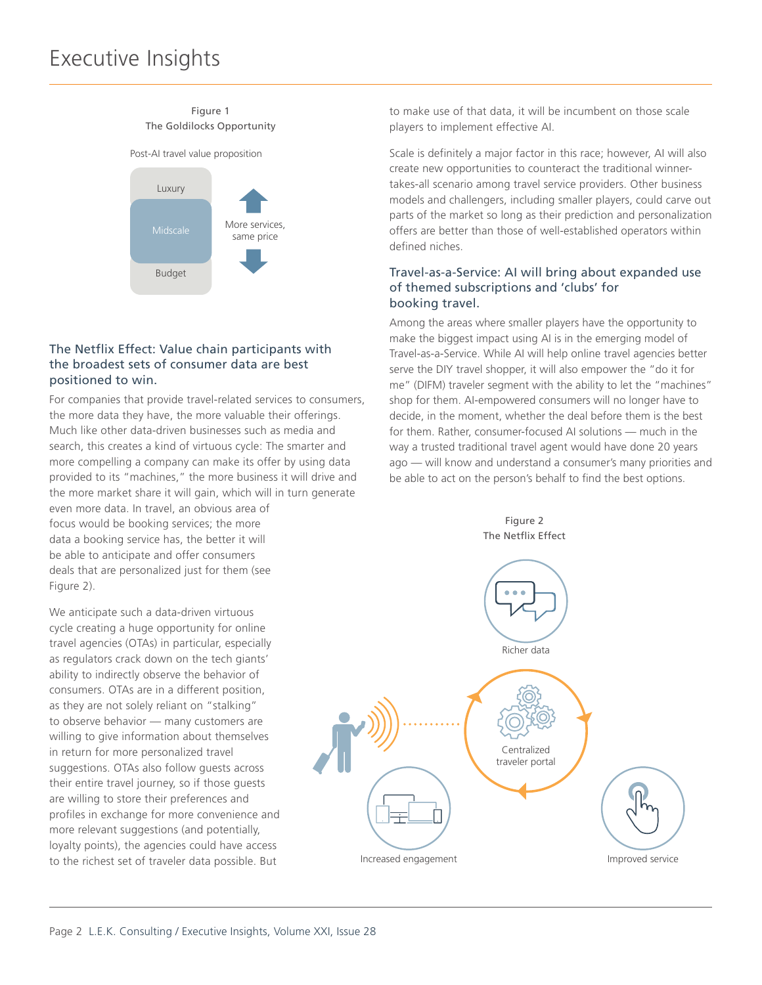#### Figure 1 The Goldilocks Opportunity



## The Netflix Effect: Value chain participants with the broadest sets of consumer data are best positioned to win.

For companies that provide travel-related services to consumers, the more data they have, the more valuable their offerings. Much like other data-driven businesses such as media and search, this creates a kind of virtuous cycle: The smarter and more compelling a company can make its offer by using data provided to its "machines," the more business it will drive and the more market share it will gain, which will in turn generate even more data. In travel, an obvious area of focus would be booking services; the more data a booking service has, the better it will be able to anticipate and offer consumers deals that are personalized just for them (see Figure 2).

We anticipate such a data-driven virtuous cycle creating a huge opportunity for online travel agencies (OTAs) in particular, especially as regulators crack down on the tech giants' ability to indirectly observe the behavior of consumers. OTAs are in a different position, as they are not solely reliant on "stalking" to observe behavior — many customers are willing to give information about themselves in return for more personalized travel suggestions. OTAs also follow guests across their entire travel journey, so if those guests are willing to store their preferences and profiles in exchange for more convenience and more relevant suggestions (and potentially, loyalty points), the agencies could have access to the richest set of traveler data possible. But

to make use of that data, it will be incumbent on those scale players to implement effective AI.

Scale is definitely a major factor in this race; however, AI will also create new opportunities to counteract the traditional winnertakes-all scenario among travel service providers. Other business models and challengers, including smaller players, could carve out parts of the market so long as their prediction and personalization offers are better than those of well-established operators within defined niches.

### Travel-as-a-Service: AI will bring about expanded use of themed subscriptions and 'clubs' for booking travel.

Among the areas where smaller players have the opportunity to make the biggest impact using AI is in the emerging model of Travel-as-a-Service. While AI will help online travel agencies better serve the DIY travel shopper, it will also empower the "do it for me" (DIFM) traveler segment with the ability to let the "machines" shop for them. AI-empowered consumers will no longer have to decide, in the moment, whether the deal before them is the best for them. Rather, consumer-focused AI solutions — much in the way a trusted traditional travel agent would have done 20 years ago — will know and understand a consumer's many priorities and be able to act on the person's behalf to find the best options.

Figure 2